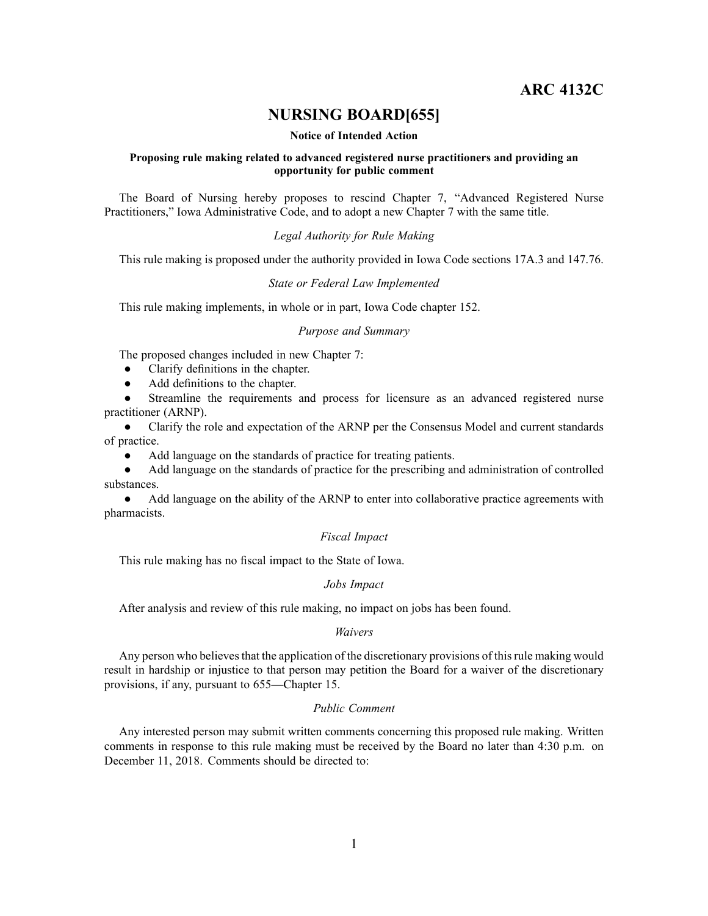# **ARC 4132C**

# **NURSING BOARD[655]**

#### **Notice of Intended Action**

## **Proposing rule making related to advanced registered nurse practitioners and providing an opportunity for public comment**

The Board of Nursing hereby proposes to rescind Chapter 7, "Advanced Registered Nurse Practitioners," Iowa Administrative Code, and to adopt <sup>a</sup> new Chapter 7 with the same title.

# *Legal Authority for Rule Making*

This rule making is proposed under the authority provided in Iowa Code sections 17A.3 and 147.76.

#### *State or Federal Law Implemented*

This rule making implements, in whole or in part, Iowa Code chapter 152.

### *Purpose and Summary*

The proposed changes included in new Chapter 7:

- $\bullet$ Clarify definitions in the chapter.
- $\bullet$ Add definitions to the chapter.

● Streamline the requirements and process for licensure as an advanced registered nurse practitioner (ARNP).

● Clarify the role and expectation of the ARNP per the Consensus Model and current standards of practice.

●Add language on the standards of practice for treating patients.

● Add language on the standards of practice for the prescribing and administration of controlled substances.

● Add language on the ability of the ARNP to enter into collaborative practice agreements with pharmacists.

## *Fiscal Impact*

This rule making has no fiscal impact to the State of Iowa.

# *Jobs Impact*

After analysis and review of this rule making, no impact on jobs has been found.

#### *Waivers*

Any person who believes that the application of the discretionary provisions of this rule making would result in hardship or injustice to that person may petition the Board for <sup>a</sup> waiver of the discretionary provisions, if any, pursuan<sup>t</sup> to 655—Chapter 15.

## *Public Comment*

Any interested person may submit written comments concerning this proposed rule making. Written comments in response to this rule making must be received by the Board no later than 4:30 p.m. on December 11, 2018. Comments should be directed to: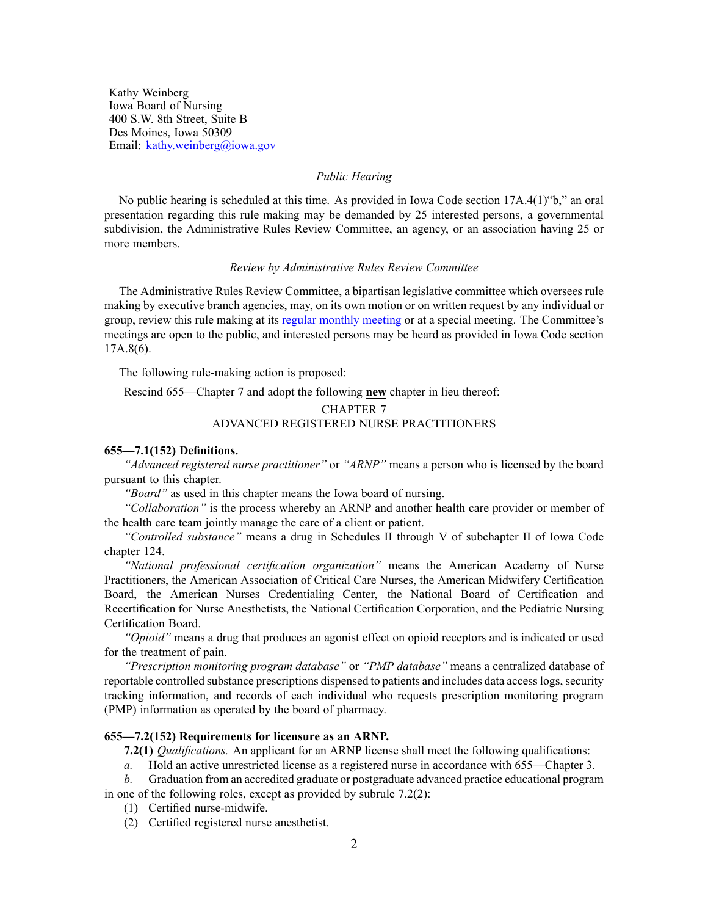Kathy Weinberg Iowa Board of Nursing 400 S.W. 8th Street, Suite B Des Moines, Iowa 50309 Email: [kathy.weinberg@iowa.gov](mailto:kathy.weinberg@iowa.gov)

### *Public Hearing*

No public hearing is scheduled at this time. As provided in Iowa Code section 17A.4(1)"b," an oral presentation regarding this rule making may be demanded by 25 interested persons, <sup>a</sup> governmental subdivision, the Administrative Rules Review Committee, an agency, or an association having 25 or more members.

## *Review by Administrative Rules Review Committee*

The Administrative Rules Review Committee, <sup>a</sup> bipartisan legislative committee which oversees rule making by executive branch agencies, may, on its own motion or on written reques<sup>t</sup> by any individual or group, review this rule making at its regular [monthly](https://www.legis.iowa.gov/committees/meetings/meetingsListComm?groupID=705&ga=87) meeting or at <sup>a</sup> special meeting. The Committee's meetings are open to the public, and interested persons may be heard as provided in Iowa Code section 17A.8(6).

The following rule-making action is proposed:

Rescind 655—Chapter 7 and adopt the following **new** chapter in lieu thereof:

# CHAPTER 7 ADVANCED REGISTERED NURSE PRACTITIONERS

## **655—7.1(152) Definitions.**

*"Advanced registered nurse practitioner"* or *"ARNP"* means <sup>a</sup> person who is licensed by the board pursuan<sup>t</sup> to this chapter.

*"Board"* as used in this chapter means the Iowa board of nursing.

*"Collaboration"* is the process whereby an ARNP and another health care provider or member of the health care team jointly manage the care of <sup>a</sup> client or patient.

*"Controlled substance"* means <sup>a</sup> drug in Schedules II through V of subchapter II of Iowa Code chapter [124](https://www.legis.iowa.gov/docs/ico/chapter/124.pdf).

*"National professional certification organization"* means the American Academy of Nurse Practitioners, the American Association of Critical Care Nurses, the American Midwifery Certification Board, the American Nurses Credentialing Center, the National Board of Certification and Recertification for Nurse Anesthetists, the National Certification Corporation, and the Pediatric Nursing Certification Board.

*"Opioid"* means <sup>a</sup> drug that produces an agonist effect on opioid receptors and is indicated or used for the treatment of pain.

*"Prescription monitoring program database"* or *"PMP database"* means <sup>a</sup> centralized database of reportable controlled substance prescriptions dispensed to patients and includes data accesslogs, security tracking information, and records of each individual who requests prescription monitoring program (PMP) information as operated by the board of pharmacy.

#### **655—7.2(152) Requirements for licensure as an ARNP.**

**7.2(1)** *Qualifications.* An applicant for an ARNP license shall meet the following qualifications:

*a.* Hold an active unrestricted license as <sup>a</sup> registered nurse in accordance with 655—Chapter 3.

*b.* Graduation from an accredited graduate or postgraduate advanced practice educational program in one of the following roles, excep<sup>t</sup> as provided by subrule 7.2(2):

- (1) Certified nurse-midwife.
- (2) Certified registered nurse anesthetist.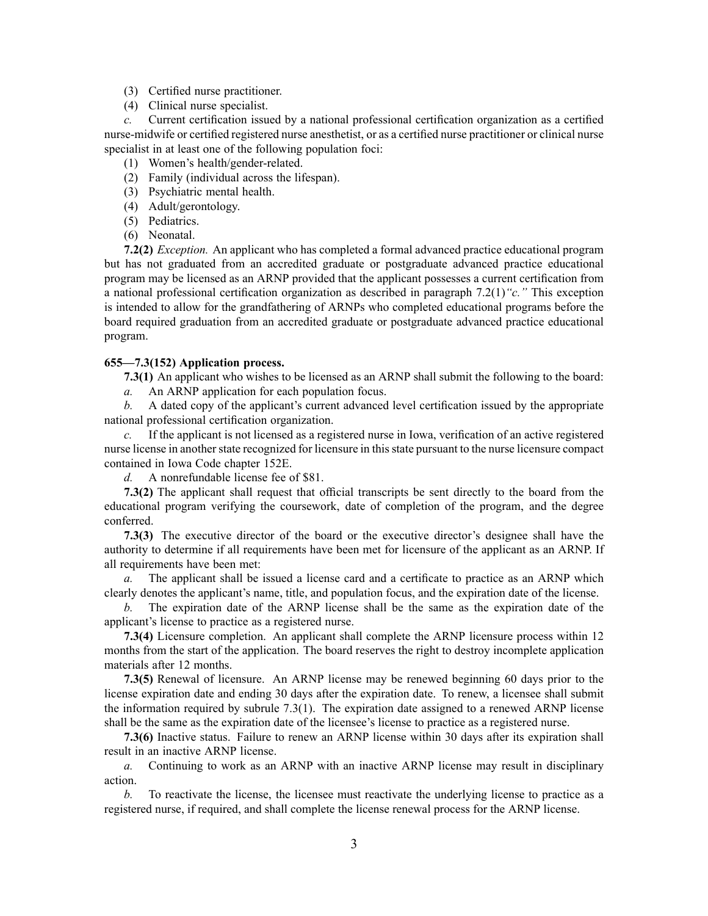- (3) Certified nurse practitioner.
- (4) Clinical nurse specialist.

*c.* Current certification issued by <sup>a</sup> national professional certification organization as <sup>a</sup> certified nurse-midwife or certified registered nurse anesthetist, or as <sup>a</sup> certified nurse practitioner or clinical nurse specialist in at least one of the following population foci:

- (1) Women's health/gender-related.
- (2) Family (individual across the lifespan).
- (3) Psychiatric mental health.
- (4) Adult/gerontology.
- (5) Pediatrics.
- (6) Neonatal.

**7.2(2)** *Exception.* An applicant who has completed <sup>a</sup> formal advanced practice educational program but has not graduated from an accredited graduate or postgraduate advanced practice educational program may be licensed as an ARNP provided that the applicant possesses <sup>a</sup> current certification from <sup>a</sup> national professional certification organization as described in paragraph 7.2(1)*"c."* This exception is intended to allow for the grandfathering of ARNPs who completed educational programs before the board required graduation from an accredited graduate or postgraduate advanced practice educational program.

### **655—7.3(152) Application process.**

**7.3(1)** An applicant who wishes to be licensed as an ARNP shall submit the following to the board:

*a.* An ARNP application for each population focus.

*b.* A dated copy of the applicant's current advanced level certification issued by the appropriate national professional certification organization.

*c.* If the applicant is not licensed as <sup>a</sup> registered nurse in Iowa, verification of an active registered nurse license in another state recognized for licensure in this state pursuant to the nurse licensure compact contained in Iowa Code chapter 152E.

*d.* A nonrefundable license fee of \$81.

**7.3(2)** The applicant shall reques<sup>t</sup> that official transcripts be sent directly to the board from the educational program verifying the coursework, date of completion of the program, and the degree conferred.

**7.3(3)** The executive director of the board or the executive director's designee shall have the authority to determine if all requirements have been met for licensure of the applicant as an ARNP. If all requirements have been met:

*a.* The applicant shall be issued <sup>a</sup> license card and <sup>a</sup> certificate to practice as an ARNP which clearly denotes the applicant's name, title, and population focus, and the expiration date of the license.

*b.* The expiration date of the ARNP license shall be the same as the expiration date of the applicant's license to practice as <sup>a</sup> registered nurse.

**7.3(4)** Licensure completion. An applicant shall complete the ARNP licensure process within 12 months from the start of the application. The board reserves the right to destroy incomplete application materials after 12 months.

**7.3(5)** Renewal of licensure. An ARNP license may be renewed beginning 60 days prior to the license expiration date and ending 30 days after the expiration date. To renew, <sup>a</sup> licensee shall submit the information required by subrule 7.3(1). The expiration date assigned to <sup>a</sup> renewed ARNP license shall be the same as the expiration date of the licensee's license to practice as <sup>a</sup> registered nurse.

**7.3(6)** Inactive status. Failure to renew an ARNP license within 30 days after its expiration shall result in an inactive ARNP license.

*a.* Continuing to work as an ARNP with an inactive ARNP license may result in disciplinary action.

*b.* To reactivate the license, the licensee must reactivate the underlying license to practice as <sup>a</sup> registered nurse, if required, and shall complete the license renewal process for the ARNP license.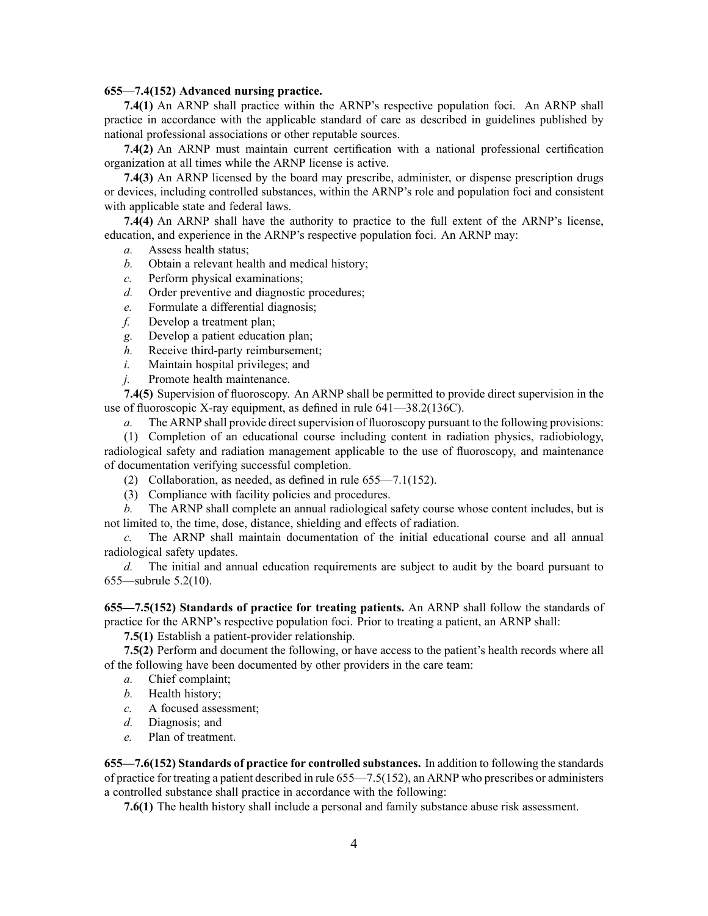### **655—7.4(152) Advanced nursing practice.**

**7.4(1)** An ARNP shall practice within the ARNP's respective population foci. An ARNP shall practice in accordance with the applicable standard of care as described in guidelines published by national professional associations or other reputable sources.

**7.4(2)** An ARNP must maintain current certification with <sup>a</sup> national professional certification organization at all times while the ARNP license is active.

**7.4(3)** An ARNP licensed by the board may prescribe, administer, or dispense prescription drugs or devices, including controlled substances, within the ARNP's role and population foci and consistent with applicable state and federal laws.

**7.4(4)** An ARNP shall have the authority to practice to the full extent of the ARNP's license, education, and experience in the ARNP's respective population foci. An ARNP may:

- *a.* Assess health status;
- *b.* Obtain <sup>a</sup> relevant health and medical history;
- *c.* Perform physical examinations;
- *d.* Order preventive and diagnostic procedures;
- *e.* Formulate <sup>a</sup> differential diagnosis;
- *f.* Develop <sup>a</sup> treatment plan;
- *g.* Develop <sup>a</sup> patient education plan;
- *h.* Receive third-party reimbursement;
- *i.* Maintain hospital privileges; and
- *j.* Promote health maintenance.

**7.4(5)** Supervision of fluoroscopy. An ARNP shall be permitted to provide direct supervision in the use of fluoroscopic X-ray equipment, as defined in rule 641—38.2(136C).

*a.* The ARNP shall provide direct supervision of fluoroscopy pursuant to the following provisions:

(1) Completion of an educational course including content in radiation physics, radiobiology, radiological safety and radiation managemen<sup>t</sup> applicable to the use of fluoroscopy, and maintenance of documentation verifying successful completion.

- (2) Collaboration, as needed, as defined in rule 655—7.1(152).
- (3) Compliance with facility policies and procedures.

*b.* The ARNP shall complete an annual radiological safety course whose content includes, but is not limited to, the time, dose, distance, shielding and effects of radiation.

*c.* The ARNP shall maintain documentation of the initial educational course and all annual radiological safety updates.

*d.* The initial and annual education requirements are subject to audit by the board pursuan<sup>t</sup> to 655—subrule 5.2(10).

**655—7.5(152) Standards of practice for treating patients.** An ARNP shall follow the standards of practice for the ARNP's respective population foci. Prior to treating <sup>a</sup> patient, an ARNP shall:

**7.5(1)** Establish <sup>a</sup> patient-provider relationship.

**7.5(2)** Perform and document the following, or have access to the patient's health records where all of the following have been documented by other providers in the care team:

- *a.* Chief complaint;
- *b.* Health history;
- *c.* A focused assessment;
- *d.* Diagnosis; and
- *e.* Plan of treatment.

**655—7.6(152) Standards of practice for controlled substances.** In addition to following the standards of practice for treating <sup>a</sup> patient described in rule 655—7.5(152), an ARNP who prescribes or administers <sup>a</sup> controlled substance shall practice in accordance with the following:

**7.6(1)** The health history shall include <sup>a</sup> personal and family substance abuse risk assessment.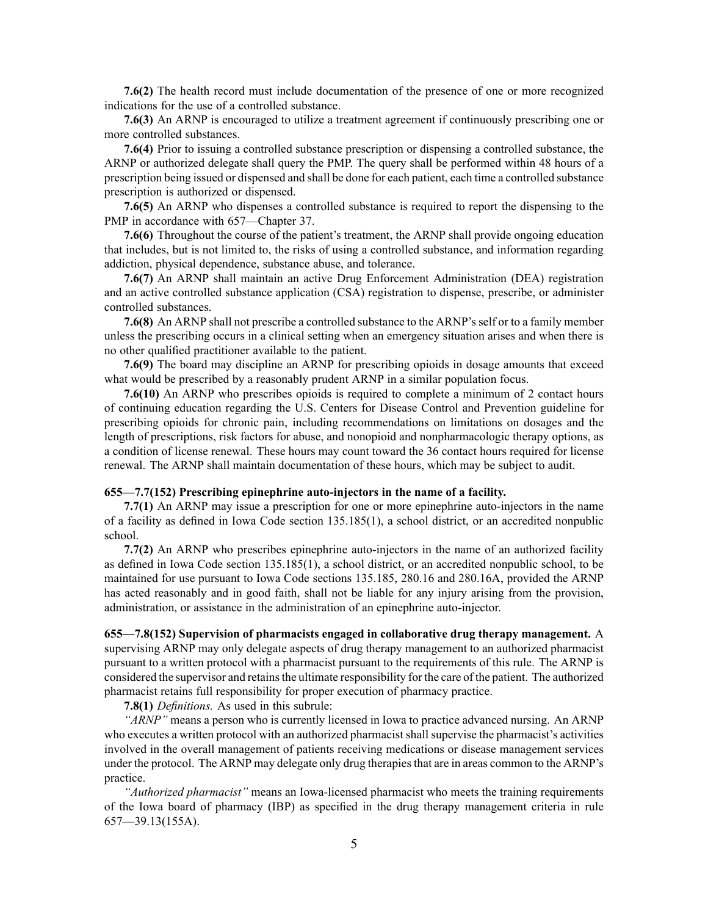**7.6(2)** The health record must include documentation of the presence of one or more recognized indications for the use of <sup>a</sup> controlled substance.

**7.6(3)** An ARNP is encouraged to utilize <sup>a</sup> treatment agreemen<sup>t</sup> if continuously prescribing one or more controlled substances.

**7.6(4)** Prior to issuing <sup>a</sup> controlled substance prescription or dispensing <sup>a</sup> controlled substance, the ARNP or authorized delegate shall query the PMP. The query shall be performed within 48 hours of <sup>a</sup> prescription being issued or dispensed and shall be done for each patient, each time <sup>a</sup> controlled substance prescription is authorized or dispensed.

**7.6(5)** An ARNP who dispenses <sup>a</sup> controlled substance is required to repor<sup>t</sup> the dispensing to the PMP in accordance with 657—Chapter 37.

**7.6(6)** Throughout the course of the patient's treatment, the ARNP shall provide ongoing education that includes, but is not limited to, the risks of using <sup>a</sup> controlled substance, and information regarding addiction, physical dependence, substance abuse, and tolerance.

**7.6(7)** An ARNP shall maintain an active Drug Enforcement Administration (DEA) registration and an active controlled substance application (CSA) registration to dispense, prescribe, or administer controlled substances.

**7.6(8)** An ARNP shall not prescribe <sup>a</sup> controlled substance to the ARNP'sself or to <sup>a</sup> family member unless the prescribing occurs in <sup>a</sup> clinical setting when an emergency situation arises and when there is no other qualified practitioner available to the patient.

**7.6(9)** The board may discipline an ARNP for prescribing opioids in dosage amounts that exceed what would be prescribed by <sup>a</sup> reasonably prudent ARNP in <sup>a</sup> similar population focus.

**7.6(10)** An ARNP who prescribes opioids is required to complete <sup>a</sup> minimum of 2 contact hours of continuing education regarding the U.S. Centers for Disease Control and Prevention guideline for prescribing opioids for chronic pain, including recommendations on limitations on dosages and the length of prescriptions, risk factors for abuse, and nonopioid and nonpharmacologic therapy options, as <sup>a</sup> condition of license renewal. These hours may count toward the 36 contact hours required for license renewal. The ARNP shall maintain documentation of these hours, which may be subject to audit.

## **655—7.7(152) Prescribing epinephrine auto-injectors in the name of <sup>a</sup> facility.**

**7.7(1)** An ARNP may issue <sup>a</sup> prescription for one or more epinephrine auto-injectors in the name of <sup>a</sup> facility as defined in Iowa Code section [135.185\(1\)](https://www.legis.iowa.gov/docs/iac/rule/655.135.185.pdf), <sup>a</sup> school district, or an accredited nonpublic school.

**7.7(2)** An ARNP who prescribes epinephrine auto-injectors in the name of an authorized facility as defined in Iowa Code section [135.185\(1\)](https://www.legis.iowa.gov/docs/iac/rule/655.135.185.pdf), <sup>a</sup> school district, or an accredited nonpublic school, to be maintained for use pursuan<sup>t</sup> to Iowa Code sections [135.185](https://www.legis.iowa.gov/docs/ico/section/135.185.pdf), [280.16](https://www.legis.iowa.gov/docs/ico/section/280.16.pdf) and [280.16A](https://www.legis.iowa.gov/docs/ico/section/280.16A.pdf), provided the ARNP has acted reasonably and in good faith, shall not be liable for any injury arising from the provision, administration, or assistance in the administration of an epinephrine auto-injector.

**655—7.8(152) Supervision of pharmacists engaged in collaborative drug therapy management.** A supervising ARNP may only delegate aspects of drug therapy managemen<sup>t</sup> to an authorized pharmacist pursuan<sup>t</sup> to <sup>a</sup> written protocol with <sup>a</sup> pharmacist pursuan<sup>t</sup> to the requirements of this rule. The ARNP is considered the supervisor and retainsthe ultimate responsibility for the care of the patient. The authorized pharmacist retains full responsibility for proper execution of pharmacy practice.

**7.8(1)** *Definitions.* As used in this subrule:

*"ARNP"* means <sup>a</sup> person who is currently licensed in Iowa to practice advanced nursing. An ARNP who executes <sup>a</sup> written protocol with an authorized pharmacist shall supervise the pharmacist's activities involved in the overall managemen<sup>t</sup> of patients receiving medications or disease managemen<sup>t</sup> services under the protocol. The ARNP may delegate only drug therapiesthat are in areas common to the ARNP's practice.

*"Authorized pharmacist"* means an Iowa-licensed pharmacist who meets the training requirements of the Iowa board of pharmacy (IBP) as specified in the drug therapy managemen<sup>t</sup> criteria in rule 657—39.13(155A).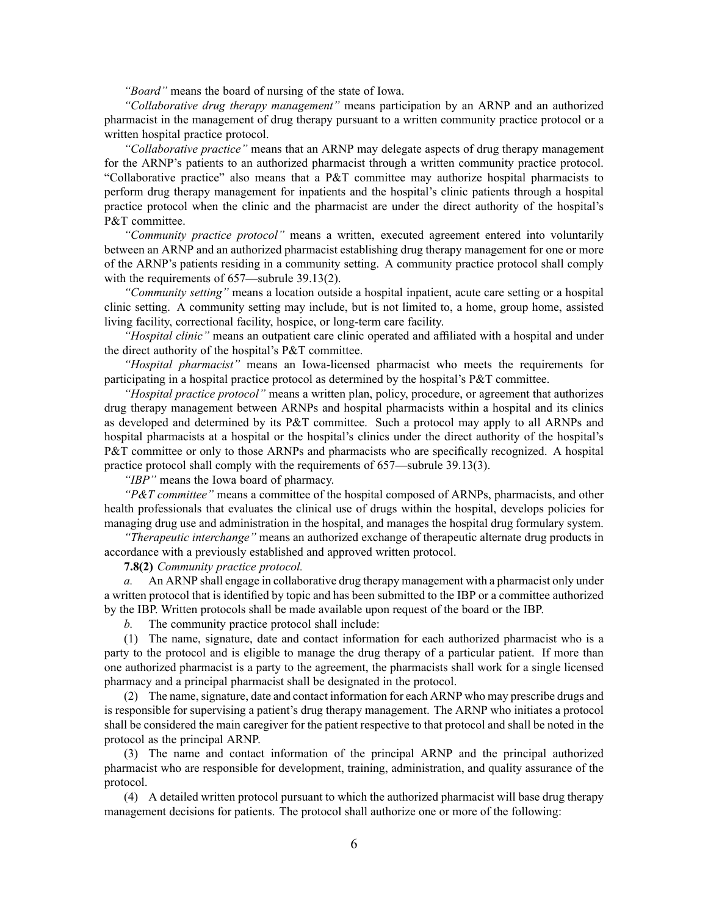*"Board"* means the board of nursing of the state of Iowa.

*"Collaborative drug therapy management"* means participation by an ARNP and an authorized pharmacist in the managemen<sup>t</sup> of drug therapy pursuan<sup>t</sup> to <sup>a</sup> written community practice protocol or <sup>a</sup> written hospital practice protocol.

*"Collaborative practice"* means that an ARNP may delegate aspects of drug therapy managemen<sup>t</sup> for the ARNP's patients to an authorized pharmacist through <sup>a</sup> written community practice protocol. "Collaborative practice" also means that <sup>a</sup> P&T committee may authorize hospital pharmacists to perform drug therapy managemen<sup>t</sup> for inpatients and the hospital's clinic patients through <sup>a</sup> hospital practice protocol when the clinic and the pharmacist are under the direct authority of the hospital's P&T committee.

*"Community practice protocol"* means <sup>a</sup> written, executed agreemen<sup>t</sup> entered into voluntarily between an ARNP and an authorized pharmacist establishing drug therapy managemen<sup>t</sup> for one or more of the ARNP's patients residing in <sup>a</sup> community setting. A community practice protocol shall comply with the requirements of 657—subrule 39.13(2).

*"Community setting"* means <sup>a</sup> location outside <sup>a</sup> hospital inpatient, acute care setting or <sup>a</sup> hospital clinic setting. A community setting may include, but is not limited to, <sup>a</sup> home, group home, assisted living facility, correctional facility, hospice, or long-term care facility.

*"Hospital clinic"* means an outpatient care clinic operated and affiliated with <sup>a</sup> hospital and under the direct authority of the hospital's P&T committee.

*"Hospital pharmacist"* means an Iowa-licensed pharmacist who meets the requirements for participating in <sup>a</sup> hospital practice protocol as determined by the hospital's P&T committee.

*"Hospital practice protocol"* means <sup>a</sup> written plan, policy, procedure, or agreemen<sup>t</sup> that authorizes drug therapy managemen<sup>t</sup> between ARNPs and hospital pharmacists within <sup>a</sup> hospital and its clinics as developed and determined by its P&T committee. Such <sup>a</sup> protocol may apply to all ARNPs and hospital pharmacists at <sup>a</sup> hospital or the hospital's clinics under the direct authority of the hospital's P&T committee or only to those ARNPs and pharmacists who are specifically recognized. A hospital practice protocol shall comply with the requirements of 657—subrule 39.13(3).

*"IBP"* means the Iowa board of pharmacy.

*"P&T committee"* means <sup>a</sup> committee of the hospital composed of ARNPs, pharmacists, and other health professionals that evaluates the clinical use of drugs within the hospital, develops policies for managing drug use and administration in the hospital, and manages the hospital drug formulary system.

*"Therapeutic interchange"* means an authorized exchange of therapeutic alternate drug products in accordance with <sup>a</sup> previously established and approved written protocol.

**7.8(2)** *Community practice protocol.*

*a.* An ARNP shall engage in collaborative drug therapy managemen<sup>t</sup> with <sup>a</sup> pharmacist only under <sup>a</sup> written protocol that is identified by topic and has been submitted to the IBP or <sup>a</sup> committee authorized by the IBP. Written protocols shall be made available upon reques<sup>t</sup> of the board or the IBP.

*b.* The community practice protocol shall include:

(1) The name, signature, date and contact information for each authorized pharmacist who is <sup>a</sup> party to the protocol and is eligible to manage the drug therapy of <sup>a</sup> particular patient. If more than one authorized pharmacist is <sup>a</sup> party to the agreement, the pharmacists shall work for <sup>a</sup> single licensed pharmacy and <sup>a</sup> principal pharmacist shall be designated in the protocol.

(2) The name, signature, date and contact information for each ARNP who may prescribe drugs and is responsible for supervising <sup>a</sup> patient's drug therapy management. The ARNP who initiates <sup>a</sup> protocol shall be considered the main caregiver for the patient respective to that protocol and shall be noted in the protocol as the principal ARNP.

(3) The name and contact information of the principal ARNP and the principal authorized pharmacist who are responsible for development, training, administration, and quality assurance of the protocol.

(4) A detailed written protocol pursuan<sup>t</sup> to which the authorized pharmacist will base drug therapy managemen<sup>t</sup> decisions for patients. The protocol shall authorize one or more of the following: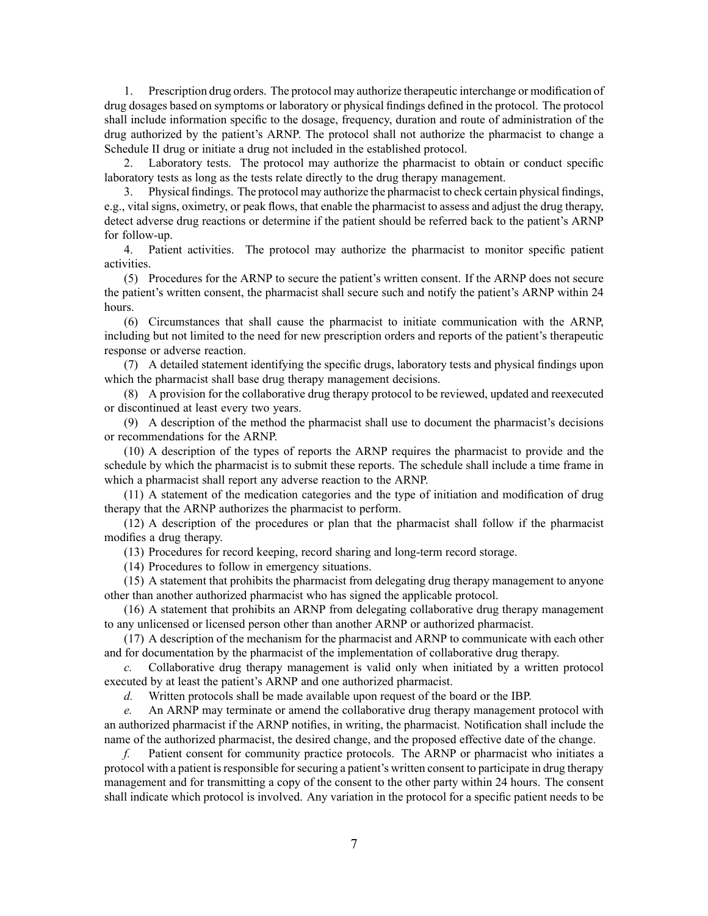1. Prescription drug orders. The protocol may authorize therapeutic interchange or modification of drug dosages based on symptoms or laboratory or physical findings defined in the protocol. The protocol shall include information specific to the dosage, frequency, duration and route of administration of the drug authorized by the patient's ARNP. The protocol shall not authorize the pharmacist to change <sup>a</sup> Schedule II drug or initiate <sup>a</sup> drug not included in the established protocol.

2. Laboratory tests. The protocol may authorize the pharmacist to obtain or conduct specific laboratory tests as long as the tests relate directly to the drug therapy management.

3. Physical findings. The protocol may authorize the pharmacist to check certain physical findings, e.g., vital signs, oximetry, or peak flows, that enable the pharmacist to assess and adjust the drug therapy, detect adverse drug reactions or determine if the patient should be referred back to the patient's ARNP for follow-up.

4. Patient activities. The protocol may authorize the pharmacist to monitor specific patient activities.

(5) Procedures for the ARNP to secure the patient's written consent. If the ARNP does not secure the patient's written consent, the pharmacist shall secure such and notify the patient's ARNP within 24 hours.

(6) Circumstances that shall cause the pharmacist to initiate communication with the ARNP, including but not limited to the need for new prescription orders and reports of the patient's therapeutic response or adverse reaction.

(7) A detailed statement identifying the specific drugs, laboratory tests and physical findings upon which the pharmacist shall base drug therapy managemen<sup>t</sup> decisions.

(8) A provision for the collaborative drug therapy protocol to be reviewed, updated and reexecuted or discontinued at least every two years.

(9) A description of the method the pharmacist shall use to document the pharmacist's decisions or recommendations for the ARNP.

(10) A description of the types of reports the ARNP requires the pharmacist to provide and the schedule by which the pharmacist is to submit these reports. The schedule shall include <sup>a</sup> time frame in which <sup>a</sup> pharmacist shall repor<sup>t</sup> any adverse reaction to the ARNP.

(11) A statement of the medication categories and the type of initiation and modification of drug therapy that the ARNP authorizes the pharmacist to perform.

(12) A description of the procedures or plan that the pharmacist shall follow if the pharmacist modifies <sup>a</sup> drug therapy.

(13) Procedures for record keeping, record sharing and long-term record storage.

(14) Procedures to follow in emergency situations.

(15) A statement that prohibits the pharmacist from delegating drug therapy managemen<sup>t</sup> to anyone other than another authorized pharmacist who has signed the applicable protocol.

(16) A statement that prohibits an ARNP from delegating collaborative drug therapy managemen<sup>t</sup> to any unlicensed or licensed person other than another ARNP or authorized pharmacist.

(17) A description of the mechanism for the pharmacist and ARNP to communicate with each other and for documentation by the pharmacist of the implementation of collaborative drug therapy.

*c.* Collaborative drug therapy managemen<sup>t</sup> is valid only when initiated by <sup>a</sup> written protocol executed by at least the patient's ARNP and one authorized pharmacist.

*d.* Written protocols shall be made available upon reques<sup>t</sup> of the board or the IBP.

*e.* An ARNP may terminate or amend the collaborative drug therapy managemen<sup>t</sup> protocol with an authorized pharmacist if the ARNP notifies, in writing, the pharmacist. Notification shall include the name of the authorized pharmacist, the desired change, and the proposed effective date of the change.

*f.* Patient consent for community practice protocols. The ARNP or pharmacist who initiates <sup>a</sup> protocol with <sup>a</sup> patient isresponsible forsecuring <sup>a</sup> patient's written consent to participate in drug therapy managemen<sup>t</sup> and for transmitting <sup>a</sup> copy of the consent to the other party within 24 hours. The consent shall indicate which protocol is involved. Any variation in the protocol for <sup>a</sup> specific patient needs to be